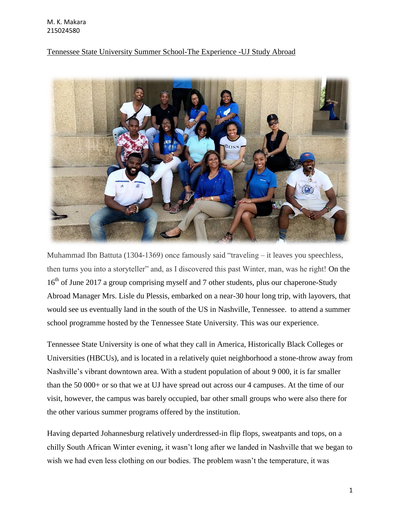## Tennessee State University Summer School-The Experience -UJ Study Abroad



Muhammad Ibn Battuta (1304-1369) once famously said "traveling – it leaves you speechless, then turns you into a storyteller" and, as I discovered this past Winter, man, was he right! On the 16<sup>th</sup> of June 2017 a group comprising myself and 7 other students, plus our chaperone-Study Abroad Manager Mrs. Lisle du Plessis, embarked on a near-30 hour long trip, with layovers, that would see us eventually land in the south of the US in Nashville, Tennessee. to attend a summer school programme hosted by the Tennessee State University. This was our experience.

Tennessee State University is one of what they call in America, Historically Black Colleges or Universities (HBCUs), and is located in a relatively quiet neighborhood a stone-throw away from Nashville's vibrant downtown area. With a student population of about 9 000, it is far smaller than the 50 000+ or so that we at UJ have spread out across our 4 campuses. At the time of our visit, however, the campus was barely occupied, bar other small groups who were also there for the other various summer programs offered by the institution.

Having departed Johannesburg relatively underdressed-in flip flops, sweatpants and tops, on a chilly South African Winter evening, it wasn't long after we landed in Nashville that we began to wish we had even less clothing on our bodies. The problem wasn't the temperature, it was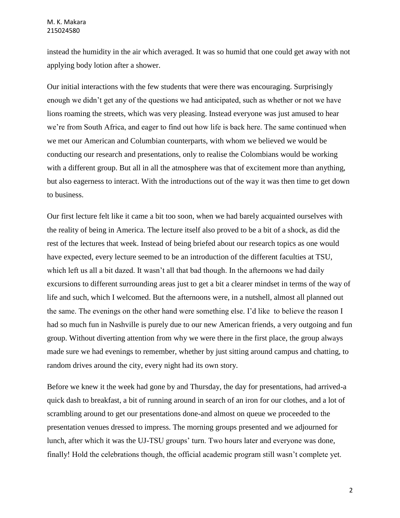instead the humidity in the air which averaged. It was so humid that one could get away with not applying body lotion after a shower.

Our initial interactions with the few students that were there was encouraging. Surprisingly enough we didn't get any of the questions we had anticipated, such as whether or not we have lions roaming the streets, which was very pleasing. Instead everyone was just amused to hear we're from South Africa, and eager to find out how life is back here. The same continued when we met our American and Columbian counterparts, with whom we believed we would be conducting our research and presentations, only to realise the Colombians would be working with a different group. But all in all the atmosphere was that of excitement more than anything, but also eagerness to interact. With the introductions out of the way it was then time to get down to business.

Our first lecture felt like it came a bit too soon, when we had barely acquainted ourselves with the reality of being in America. The lecture itself also proved to be a bit of a shock, as did the rest of the lectures that week. Instead of being briefed about our research topics as one would have expected, every lecture seemed to be an introduction of the different faculties at TSU, which left us all a bit dazed. It wasn't all that bad though. In the afternoons we had daily excursions to different surrounding areas just to get a bit a clearer mindset in terms of the way of life and such, which I welcomed. But the afternoons were, in a nutshell, almost all planned out the same. The evenings on the other hand were something else. I'd like to believe the reason I had so much fun in Nashville is purely due to our new American friends, a very outgoing and fun group. Without diverting attention from why we were there in the first place, the group always made sure we had evenings to remember, whether by just sitting around campus and chatting, to random drives around the city, every night had its own story.

Before we knew it the week had gone by and Thursday, the day for presentations, had arrived-a quick dash to breakfast, a bit of running around in search of an iron for our clothes, and a lot of scrambling around to get our presentations done-and almost on queue we proceeded to the presentation venues dressed to impress. The morning groups presented and we adjourned for lunch, after which it was the UJ-TSU groups' turn. Two hours later and everyone was done, finally! Hold the celebrations though, the official academic program still wasn't complete yet.